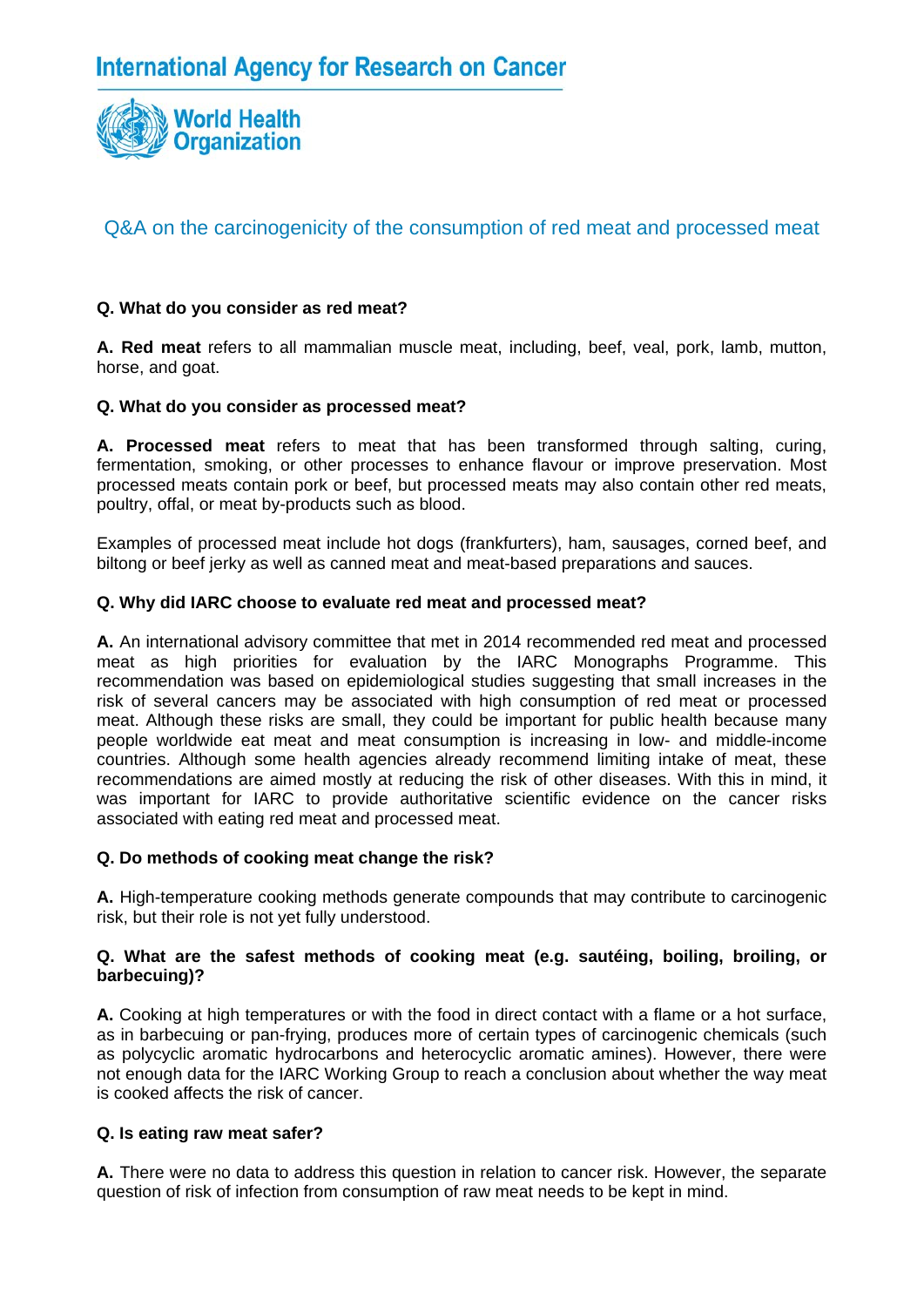

# **Q. What do you consider as red meat?**

**A. Red meat** refers to all mammalian muscle meat, including, beef, veal, pork, lamb, mutton, horse, and goat.

# **Q. What do you consider as processed meat?**

**A. Processed meat** refers to meat that has been transformed through salting, curing, fermentation, smoking, or other processes to enhance flavour or improve preservation. Most processed meats contain pork or beef, but processed meats may also contain other red meats, poultry, offal, or meat by-products such as blood.

Examples of processed meat include hot dogs (frankfurters), ham, sausages, corned beef, and biltong or beef jerky as well as canned meat and meat-based preparations and sauces.

## **Q. Why did IARC choose to evaluate red meat and processed meat?**

**A.** An international advisory committee that met in 2014 recommended red meat and processed meat as high priorities for evaluation by the IARC Monographs Programme. This recommendation was based on epidemiological studies suggesting that small increases in the risk of several cancers may be associated with high consumption of red meat or processed meat. Although these risks are small, they could be important for public health because many people worldwide eat meat and meat consumption is increasing in low- and middle-income countries. Although some health agencies already recommend limiting intake of meat, these recommendations are aimed mostly at reducing the risk of other diseases. With this in mind, it was important for IARC to provide authoritative scientific evidence on the cancer risks associated with eating red meat and processed meat.

## **Q. Do methods of cooking meat change the risk?**

**A.** High-temperature cooking methods generate compounds that may contribute to carcinogenic risk, but their role is not yet fully understood.

#### **Q. What are the safest methods of cooking meat (e.g. sautéing, boiling, broiling, or barbecuing)?**

**A.** Cooking at high temperatures or with the food in direct contact with a flame or a hot surface, as in barbecuing or pan-frying, produces more of certain types of carcinogenic chemicals (such as polycyclic aromatic hydrocarbons and heterocyclic aromatic amines). However, there were not enough data for the IARC Working Group to reach a conclusion about whether the way meat is cooked affects the risk of cancer.

## **Q. Is eating raw meat safer?**

**A.** There were no data to address this question in relation to cancer risk. However, the separate question of risk of infection from consumption of raw meat needs to be kept in mind.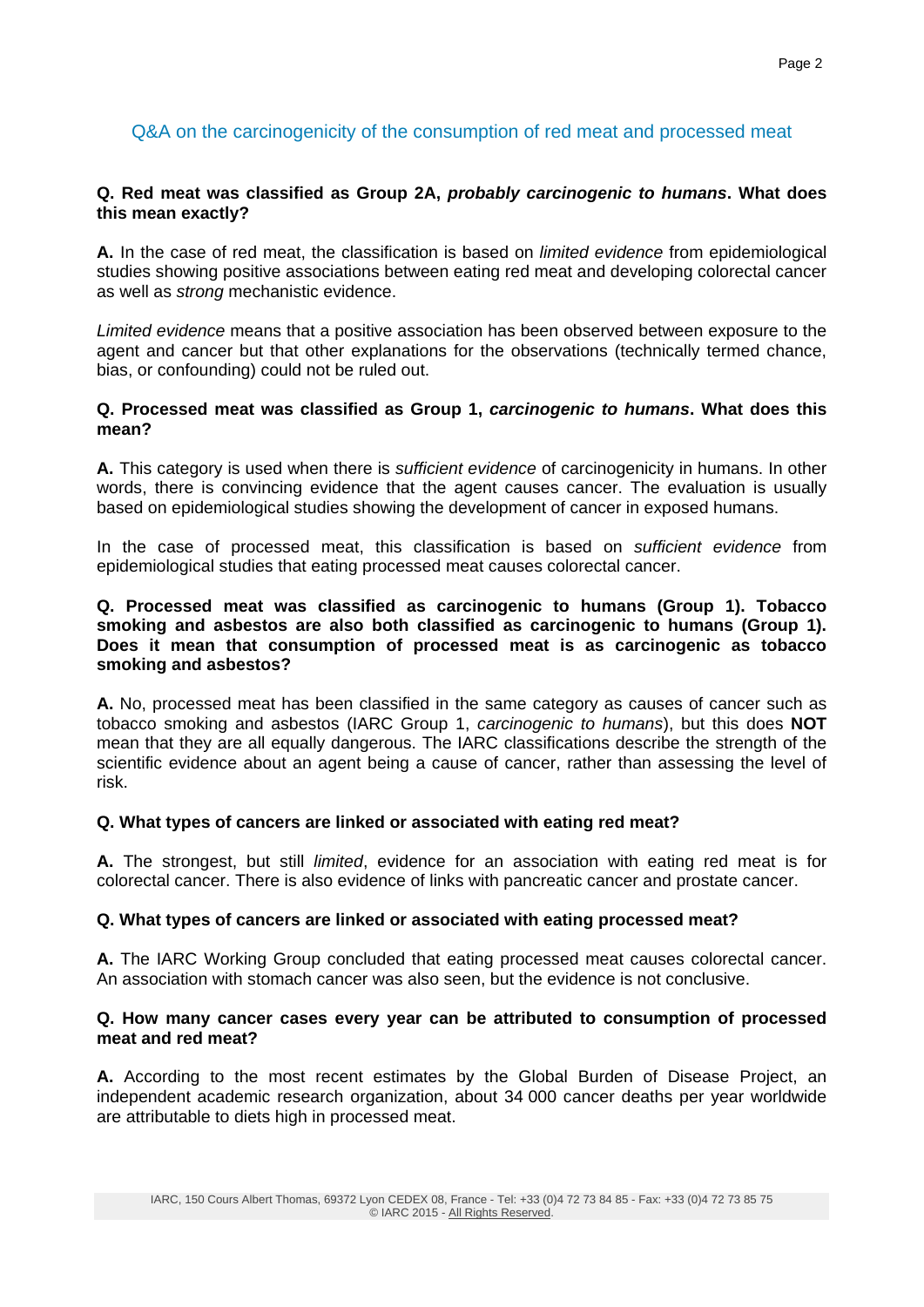## **Q. Red meat was classified as Group 2A,** *probably carcinogenic to humans***. What does this mean exactly?**

**A.** In the case of red meat, the classification is based on *limited evidence* from epidemiological studies showing positive associations between eating red meat and developing colorectal cancer as well as *strong* mechanistic evidence.

*Limited evidence* means that a positive association has been observed between exposure to the agent and cancer but that other explanations for the observations (technically termed chance, bias, or confounding) could not be ruled out.

## **Q. Processed meat was classified as Group 1,** *carcinogenic to humans***. What does this mean?**

**A.** This category is used when there is *sufficient evidence* of carcinogenicity in humans. In other words, there is convincing evidence that the agent causes cancer. The evaluation is usually based on epidemiological studies showing the development of cancer in exposed humans.

In the case of processed meat, this classification is based on *sufficient evidence* from epidemiological studies that eating processed meat causes colorectal cancer.

#### **Q. Processed meat was classified as carcinogenic to humans (Group 1). Tobacco smoking and asbestos are also both classified as carcinogenic to humans (Group 1). Does it mean that consumption of processed meat is as carcinogenic as tobacco smoking and asbestos?**

**A.** No, processed meat has been classified in the same category as causes of cancer such as tobacco smoking and asbestos (IARC Group 1, *carcinogenic to humans*), but this does **NOT** mean that they are all equally dangerous. The IARC classifications describe the strength of the scientific evidence about an agent being a cause of cancer, rather than assessing the level of risk.

## **Q. What types of cancers are linked or associated with eating red meat?**

**A.** The strongest, but still *limited*, evidence for an association with eating red meat is for colorectal cancer. There is also evidence of links with pancreatic cancer and prostate cancer.

## **Q. What types of cancers are linked or associated with eating processed meat?**

**A.** The IARC Working Group concluded that eating processed meat causes colorectal cancer. An association with stomach cancer was also seen, but the evidence is not conclusive.

#### **Q. How many cancer cases every year can be attributed to consumption of processed meat and red meat?**

**A.** According to the most recent estimates by the Global Burden of Disease Project, an independent academic research organization, about 34 000 cancer deaths per year worldwide are attributable to diets high in processed meat.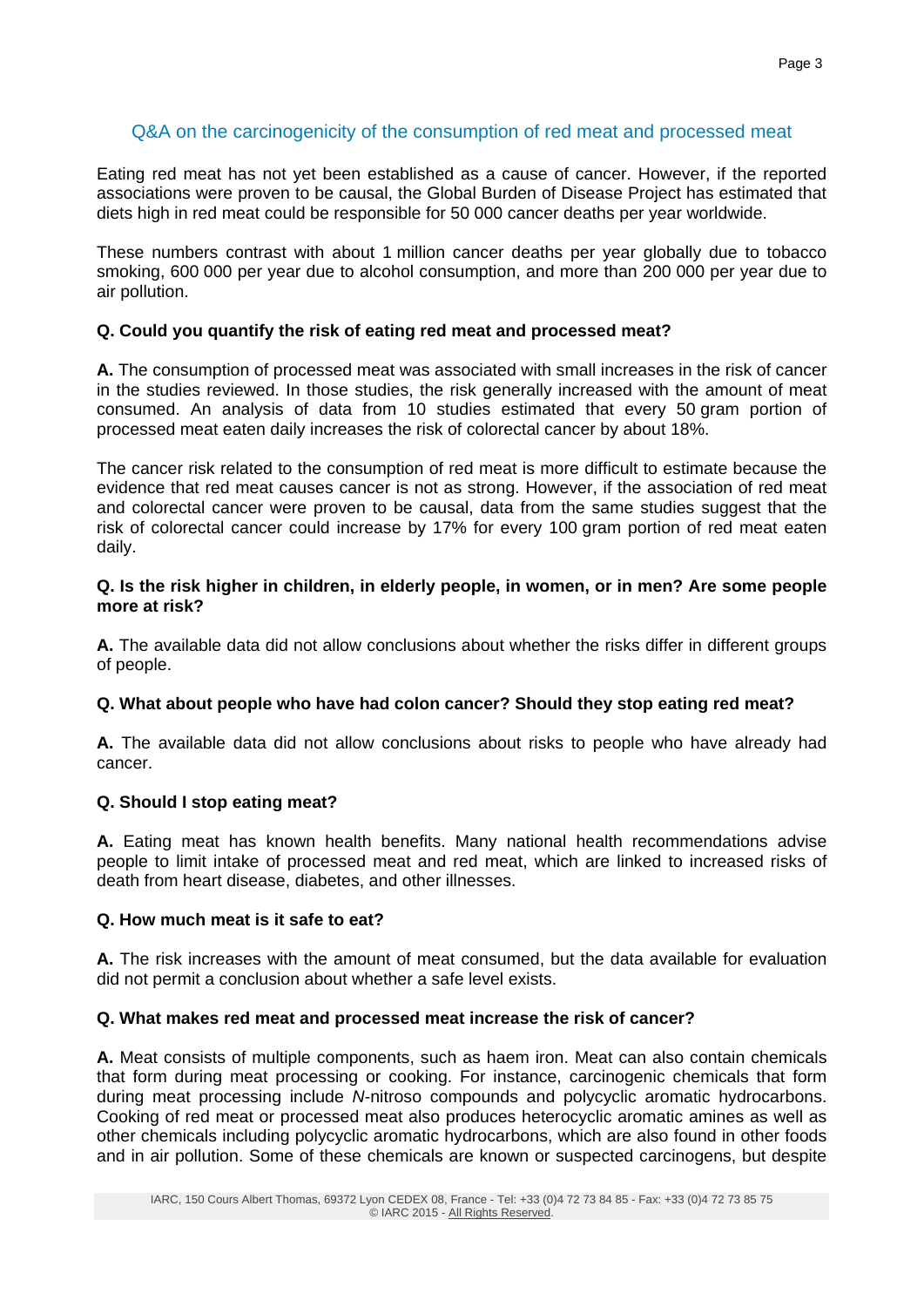Eating red meat has not yet been established as a cause of cancer. However, if the reported associations were proven to be causal, the Global Burden of Disease Project has estimated that diets high in red meat could be responsible for 50 000 cancer deaths per year worldwide.

These numbers contrast with about 1 million cancer deaths per year globally due to tobacco smoking, 600 000 per year due to alcohol consumption, and more than 200 000 per year due to air pollution.

# **Q. Could you quantify the risk of eating red meat and processed meat?**

**A.** The consumption of processed meat was associated with small increases in the risk of cancer in the studies reviewed. In those studies, the risk generally increased with the amount of meat consumed. An analysis of data from 10 studies estimated that every 50 gram portion of processed meat eaten daily increases the risk of colorectal cancer by about 18%.

The cancer risk related to the consumption of red meat is more difficult to estimate because the evidence that red meat causes cancer is not as strong. However, if the association of red meat and colorectal cancer were proven to be causal, data from the same studies suggest that the risk of colorectal cancer could increase by 17% for every 100 gram portion of red meat eaten daily.

## **Q. Is the risk higher in children, in elderly people, in women, or in men? Are some people more at risk?**

**A.** The available data did not allow conclusions about whether the risks differ in different groups of people.

## **Q. What about people who have had colon cancer? Should they stop eating red meat?**

**A.** The available data did not allow conclusions about risks to people who have already had cancer.

## **Q. Should I stop eating meat?**

**A.** Eating meat has known health benefits. Many national health recommendations advise people to limit intake of processed meat and red meat, which are linked to increased risks of death from heart disease, diabetes, and other illnesses.

## **Q. How much meat is it safe to eat?**

**A.** The risk increases with the amount of meat consumed, but the data available for evaluation did not permit a conclusion about whether a safe level exists.

## **Q. What makes red meat and processed meat increase the risk of cancer?**

**A.** Meat consists of multiple components, such as haem iron. Meat can also contain chemicals that form during meat processing or cooking. For instance, carcinogenic chemicals that form during meat processing include *N*-nitroso compounds and polycyclic aromatic hydrocarbons. Cooking of red meat or processed meat also produces heterocyclic aromatic amines as well as other chemicals including polycyclic aromatic hydrocarbons, which are also found in other foods and in air pollution. Some of these chemicals are known or suspected carcinogens, but despite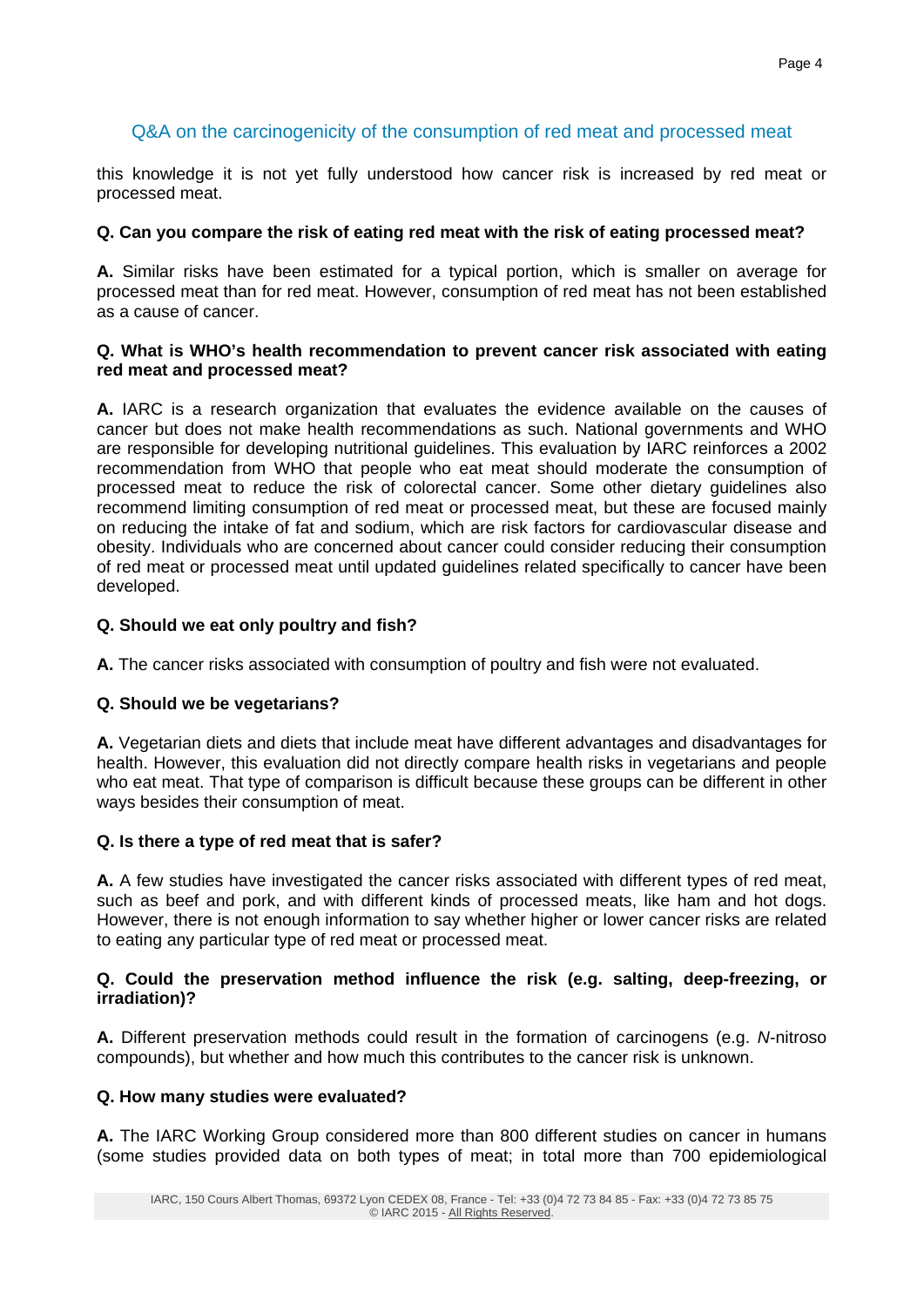this knowledge it is not yet fully understood how cancer risk is increased by red meat or processed meat.

# **Q. Can you compare the risk of eating red meat with the risk of eating processed meat?**

**A.** Similar risks have been estimated for a typical portion, which is smaller on average for processed meat than for red meat. However, consumption of red meat has not been established as a cause of cancer.

#### **Q. What is WHO's health recommendation to prevent cancer risk associated with eating red meat and processed meat?**

**A.** IARC is a research organization that evaluates the evidence available on the causes of cancer but does not make health recommendations as such. National governments and WHO are responsible for developing nutritional guidelines. This evaluation by IARC reinforces a 2002 recommendation from WHO that people who eat meat should moderate the consumption of processed meat to reduce the risk of colorectal cancer. Some other dietary guidelines also recommend limiting consumption of red meat or processed meat, but these are focused mainly on reducing the intake of fat and sodium, which are risk factors for cardiovascular disease and obesity. Individuals who are concerned about cancer could consider reducing their consumption of red meat or processed meat until updated guidelines related specifically to cancer have been developed.

# **Q. Should we eat only poultry and fish?**

**A.** The cancer risks associated with consumption of poultry and fish were not evaluated.

# **Q. Should we be vegetarians?**

**A.** Vegetarian diets and diets that include meat have different advantages and disadvantages for health. However, this evaluation did not directly compare health risks in vegetarians and people who eat meat. That type of comparison is difficult because these groups can be different in other ways besides their consumption of meat.

## **Q. Is there a type of red meat that is safer?**

**A.** A few studies have investigated the cancer risks associated with different types of red meat, such as beef and pork, and with different kinds of processed meats, like ham and hot dogs. However, there is not enough information to say whether higher or lower cancer risks are related to eating any particular type of red meat or processed meat.

## **Q. Could the preservation method influence the risk (e.g. salting, deep-freezing, or irradiation)?**

**A.** Different preservation methods could result in the formation of carcinogens (e.g. *N*-nitroso compounds), but whether and how much this contributes to the cancer risk is unknown.

## **Q. How many studies were evaluated?**

**A.** The IARC Working Group considered more than 800 different studies on cancer in humans (some studies provided data on both types of meat; in total more than 700 epidemiological